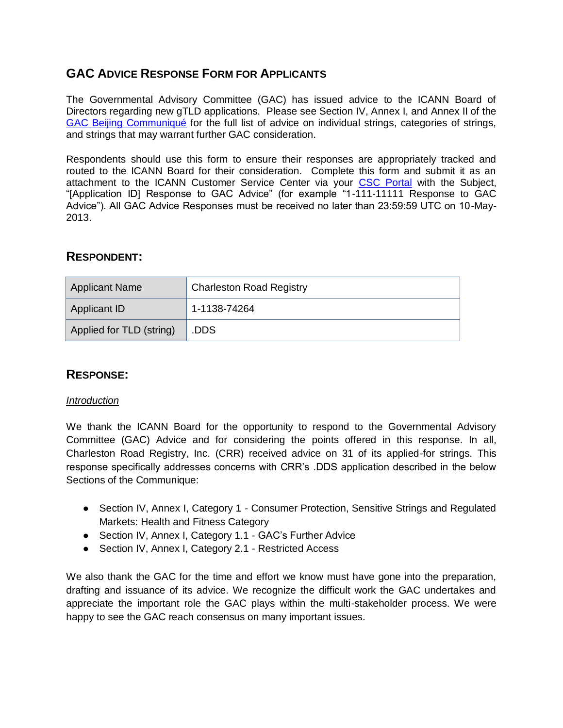# **GAC ADVICE RESPONSE FORM FOR APPLICANTS**

The Governmental Advisory Committee (GAC) has issued advice to the ICANN Board of Directors regarding new gTLD applications. Please see Section IV, Annex I, and Annex II of the [GAC Beijing Communiqué](http://www.icann.org/en/news/correspondence/gac-to-board-18apr13-en.pdf) for the full list of advice on individual strings, categories of strings, and strings that may warrant further GAC consideration.

Respondents should use this form to ensure their responses are appropriately tracked and routed to the ICANN Board for their consideration. Complete this form and submit it as an attachment to the ICANN Customer Service Center via your [CSC Portal](https://myicann.secure.force.com/) with the Subject, "[Application ID] Response to GAC Advice" (for example "1-111-11111 Response to GAC Advice"). All GAC Advice Responses must be received no later than 23:59:59 UTC on 10-May-2013.

## **RESPONDENT:**

| <b>Applicant Name</b>    | <b>Charleston Road Registry</b> |  |
|--------------------------|---------------------------------|--|
| Applicant ID             | $1 - 1138 - 74264$              |  |
| Applied for TLD (string) | .DDS                            |  |

## **RESPONSE:**

#### *Introduction*

We thank the ICANN Board for the opportunity to respond to the Governmental Advisory Committee (GAC) Advice and for considering the points offered in this response. In all, Charleston Road Registry, Inc. (CRR) received advice on 31 of its applied-for strings. This response specifically addresses concerns with CRR's .DDS application described in the below Sections of the Communique:

- Section IV, Annex I, Category 1 Consumer Protection, Sensitive Strings and Regulated Markets: Health and Fitness Category
- Section IV, Annex I, Category 1.1 GAC's Further Advice
- Section IV, Annex I, Category 2.1 Restricted Access

We also thank the GAC for the time and effort we know must have gone into the preparation, drafting and issuance of its advice. We recognize the difficult work the GAC undertakes and appreciate the important role the GAC plays within the multi-stakeholder process. We were happy to see the GAC reach consensus on many important issues.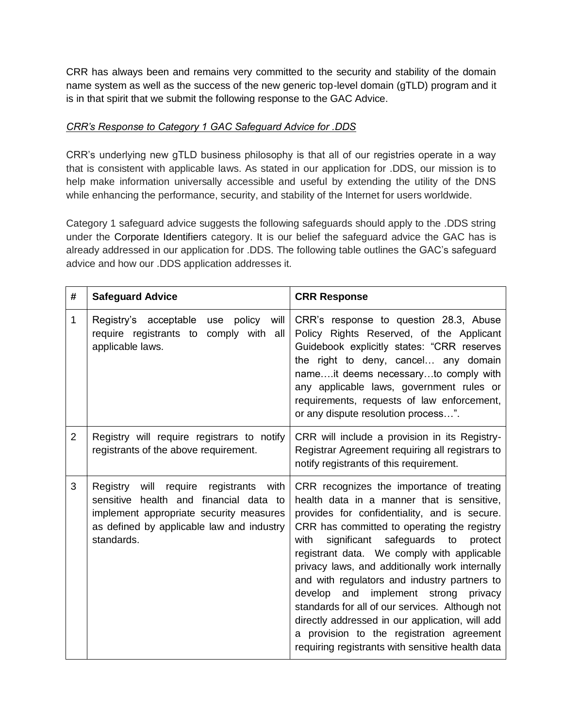CRR has always been and remains very committed to the security and stability of the domain name system as well as the success of the new generic top-level domain (gTLD) program and it is in that spirit that we submit the following response to the GAC Advice.

#### *CRR's Response to Category 1 GAC Safeguard Advice for .DDS*

CRR's underlying new gTLD business philosophy is that all of our registries operate in a way that is consistent with applicable laws. As stated in our application for .DDS, our mission is to help make information universally accessible and useful by extending the utility of the DNS while enhancing the performance, security, and stability of the Internet for users worldwide.

Category 1 safeguard advice suggests the following safeguards should apply to the .DDS string under the Corporate Identifiers category. It is our belief the safeguard advice the GAC has is already addressed in our application for .DDS. The following table outlines the GAC's safeguard advice and how our .DDS application addresses it.

| #              | <b>Safeguard Advice</b>                                                                                                                                                                            | <b>CRR Response</b>                                                                                                                                                                                                                                                                                                                                                                                                                                                                                                                                                                                                                         |
|----------------|----------------------------------------------------------------------------------------------------------------------------------------------------------------------------------------------------|---------------------------------------------------------------------------------------------------------------------------------------------------------------------------------------------------------------------------------------------------------------------------------------------------------------------------------------------------------------------------------------------------------------------------------------------------------------------------------------------------------------------------------------------------------------------------------------------------------------------------------------------|
| 1              | policy<br>Registry's acceptable<br>will<br>use<br>require registrants to comply with all<br>applicable laws.                                                                                       | CRR's response to question 28.3, Abuse<br>Policy Rights Reserved, of the Applicant<br>Guidebook explicitly states: "CRR reserves<br>the right to deny, cancel any domain<br>nameit deems necessaryto comply with<br>any applicable laws, government rules or<br>requirements, requests of law enforcement,<br>or any dispute resolution process".                                                                                                                                                                                                                                                                                           |
| $\overline{2}$ | Registry will require registrars to notify<br>registrants of the above requirement.                                                                                                                | CRR will include a provision in its Registry-<br>Registrar Agreement requiring all registrars to<br>notify registrants of this requirement.                                                                                                                                                                                                                                                                                                                                                                                                                                                                                                 |
| 3              | Registry<br>will<br>require<br>registrants<br>with<br>sensitive health and financial data to<br>implement appropriate security measures<br>as defined by applicable law and industry<br>standards. | CRR recognizes the importance of treating<br>health data in a manner that is sensitive,<br>provides for confidentiality, and is secure.<br>CRR has committed to operating the registry<br>significant safeguards to<br>with<br>protect<br>registrant data. We comply with applicable<br>privacy laws, and additionally work internally<br>and with regulators and industry partners to<br>develop and<br>implement strong<br>privacy<br>standards for all of our services. Although not<br>directly addressed in our application, will add<br>a provision to the registration agreement<br>requiring registrants with sensitive health data |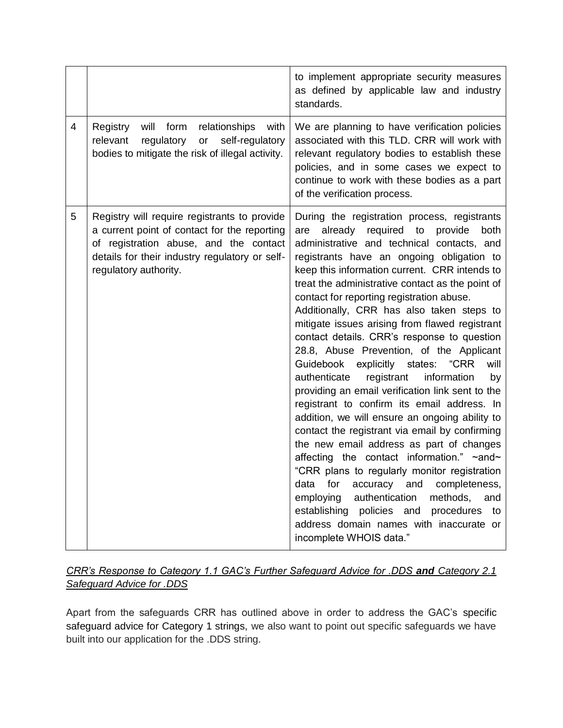|                |                                                                                                                                                                                                                   | to implement appropriate security measures<br>as defined by applicable law and industry<br>standards.                                                                                                                                                                                                                                                                                                                                                                                                                                                                                                                                                                                                                                                                                                                                                                                                                                                                                                                                                                                                                                                                                                                  |
|----------------|-------------------------------------------------------------------------------------------------------------------------------------------------------------------------------------------------------------------|------------------------------------------------------------------------------------------------------------------------------------------------------------------------------------------------------------------------------------------------------------------------------------------------------------------------------------------------------------------------------------------------------------------------------------------------------------------------------------------------------------------------------------------------------------------------------------------------------------------------------------------------------------------------------------------------------------------------------------------------------------------------------------------------------------------------------------------------------------------------------------------------------------------------------------------------------------------------------------------------------------------------------------------------------------------------------------------------------------------------------------------------------------------------------------------------------------------------|
| $\overline{4}$ | Registry<br>will<br>form<br>relationships<br>with<br>relevant<br>regulatory<br>or<br>self-regulatory<br>bodies to mitigate the risk of illegal activity.                                                          | We are planning to have verification policies<br>associated with this TLD. CRR will work with<br>relevant regulatory bodies to establish these<br>policies, and in some cases we expect to<br>continue to work with these bodies as a part<br>of the verification process.                                                                                                                                                                                                                                                                                                                                                                                                                                                                                                                                                                                                                                                                                                                                                                                                                                                                                                                                             |
| 5              | Registry will require registrants to provide<br>a current point of contact for the reporting<br>of registration abuse, and the contact<br>details for their industry regulatory or self-<br>regulatory authority. | During the registration process, registrants<br>already required to<br>provide<br>both<br>are<br>administrative and technical contacts, and<br>registrants have an ongoing obligation to<br>keep this information current. CRR intends to<br>treat the administrative contact as the point of<br>contact for reporting registration abuse.<br>Additionally, CRR has also taken steps to<br>mitigate issues arising from flawed registrant<br>contact details. CRR's response to question<br>28.8, Abuse Prevention, of the Applicant<br>"CRR<br>Guidebook explicitly<br>states:<br>will<br>authenticate<br>registrant<br>information<br>by<br>providing an email verification link sent to the<br>registrant to confirm its email address. In<br>addition, we will ensure an ongoing ability to<br>contact the registrant via email by confirming<br>the new email address as part of changes<br>affecting the contact information." ~and~<br>"CRR plans to regularly monitor registration<br>completeness,<br>data<br>for<br>accuracy<br>and<br>employing<br>authentication<br>methods,<br>and<br>establishing policies and<br>procedures<br>to<br>address domain names with inaccurate or<br>incomplete WHOIS data." |

## *CRR's Response to Category 1.1 GAC's Further Safeguard Advice for .DDS and Category 2.1 Safeguard Advice for .DDS*

Apart from the safeguards CRR has outlined above in order to address the GAC's specific safeguard advice for Category 1 strings, we also want to point out specific safeguards we have built into our application for the .DDS string.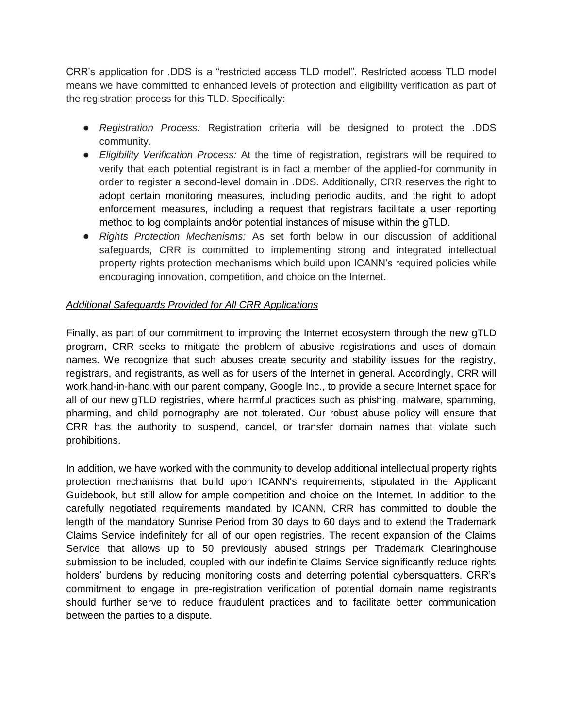CRR's application for .DDS is a "restricted access TLD model". Restricted access TLD model means we have committed to enhanced levels of protection and eligibility verification as part of the registration process for this TLD. Specifically:

- *Registration Process:* Registration criteria will be designed to protect the .DDS community.
- *Eligibility Verification Process:* At the time of registration, registrars will be required to verify that each potential registrant is in fact a member of the applied-for community in order to register a second-level domain in .DDS. Additionally, CRR reserves the right to adopt certain monitoring measures, including periodic audits, and the right to adopt enforcement measures, including a request that registrars facilitate a user reporting method to log complaints and⁄or potential instances of misuse within the gTLD.
- *Rights Protection Mechanisms:* As set forth below in our discussion of additional safeguards, CRR is committed to implementing strong and integrated intellectual property rights protection mechanisms which build upon ICANN's required policies while encouraging innovation, competition, and choice on the Internet.

### *Additional Safeguards Provided for All CRR Applications*

Finally, as part of our commitment to improving the Internet ecosystem through the new gTLD program, CRR seeks to mitigate the problem of abusive registrations and uses of domain names. We recognize that such abuses create security and stability issues for the registry, registrars, and registrants, as well as for users of the Internet in general. Accordingly, CRR will work hand-in-hand with our parent company, Google Inc., to provide a secure Internet space for all of our new gTLD registries, where harmful practices such as phishing, malware, spamming, pharming, and child pornography are not tolerated. Our robust abuse policy will ensure that CRR has the authority to suspend, cancel, or transfer domain names that violate such prohibitions.

In addition, we have worked with the community to develop additional intellectual property rights protection mechanisms that build upon ICANN's requirements, stipulated in the Applicant Guidebook, but still allow for ample competition and choice on the Internet. In addition to the carefully negotiated requirements mandated by ICANN, CRR has committed to double the length of the mandatory Sunrise Period from 30 days to 60 days and to extend the Trademark Claims Service indefinitely for all of our open registries. The recent expansion of the Claims Service that allows up to 50 previously abused strings per Trademark Clearinghouse submission to be included, coupled with our indefinite Claims Service significantly reduce rights holders' burdens by reducing monitoring costs and deterring potential cybersquatters. CRR's commitment to engage in pre-registration verification of potential domain name registrants should further serve to reduce fraudulent practices and to facilitate better communication between the parties to a dispute.